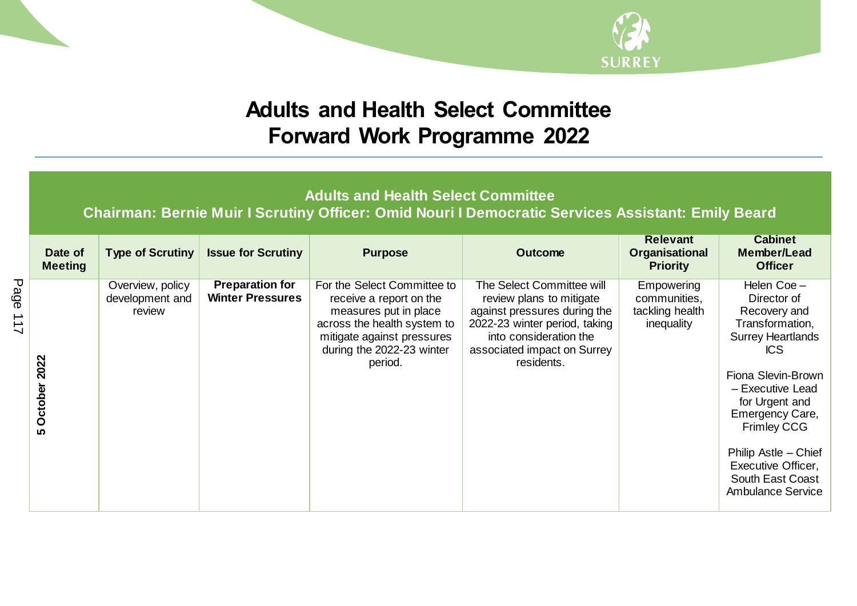

## **Adults and Health Select Committee Forward Work Programme 2022**

**Adults and Health Select Committee**

**Chairman: Bernie Muir I Scrutiny Officer: Omid Nouri I Democratic Services Assistant: Emily Beard Relevant Cabinet Type of Scrutiny Issue for Scrutiny Purpose** Purpose **Purpose Outcome Date of Organisational Member/Lead Meeting Priority Officer Preparation for**  The Select Committee will Helen Coe – Overview, policy For the Select Committee to **Empowering Winter Pressures** communities, Director of development and receive a report on the review plans to mitigate measures put in place against pressures during the tackling health Recovery and review across the health system to 2022-23 winter period, taking inequality Transformation, Surrey Heartlands mitigate against pressures into consideration the during the 2022-23 winter associated impact on Surrey ICS 5 October 2022 **5 October 2022** period. residents. Fiona Slevin-Brown – Executive Lead for Urgent and Emergency Care, Frimley CCG Philip Astle – Chief Executive Officer, South East Coast Ambulance Service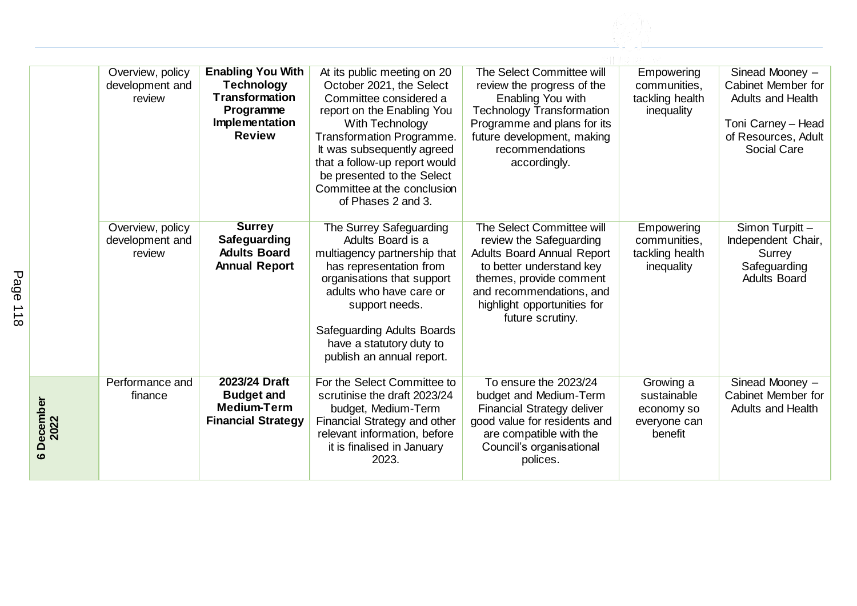|                       | Overview, policy<br>development and<br>review | <b>Enabling You With</b><br><b>Technology</b><br><b>Transformation</b><br>Programme<br>Implementation<br><b>Review</b> | At its public meeting on 20<br>October 2021, the Select<br>Committee considered a<br>report on the Enabling You<br>With Technology<br>Transformation Programme.<br>It was subsequently agreed<br>that a follow-up report would<br>be presented to the Select<br>Committee at the conclusion<br>of Phases 2 and 3. | The Select Committee will<br>review the progress of the<br>Enabling You with<br><b>Technology Transformation</b><br>Programme and plans for its<br>future development, making<br>recommendations<br>accordingly.                | Empowering<br>communities.<br>tackling health<br>inequality       | Sinead Mooney -<br>Cabinet Member for<br><b>Adults and Health</b><br>Toni Carney - Head<br>of Resources, Adult<br>Social Care |
|-----------------------|-----------------------------------------------|------------------------------------------------------------------------------------------------------------------------|-------------------------------------------------------------------------------------------------------------------------------------------------------------------------------------------------------------------------------------------------------------------------------------------------------------------|---------------------------------------------------------------------------------------------------------------------------------------------------------------------------------------------------------------------------------|-------------------------------------------------------------------|-------------------------------------------------------------------------------------------------------------------------------|
|                       | Overview, policy<br>development and<br>review | <b>Surrey</b><br>Safeguarding<br><b>Adults Board</b><br><b>Annual Report</b>                                           | The Surrey Safeguarding<br>Adults Board is a<br>multiagency partnership that<br>has representation from<br>organisations that support<br>adults who have care or<br>support needs.<br><b>Safeguarding Adults Boards</b><br>have a statutory duty to<br>publish an annual report.                                  | The Select Committee will<br>review the Safeguarding<br><b>Adults Board Annual Report</b><br>to better understand key<br>themes, provide comment<br>and recommendations, and<br>highlight opportunities for<br>future scrutiny. | Empowering<br>communities.<br>tackling health<br>inequality       | Simon Turpitt-<br>Independent Chair,<br>Surrey<br>Safeguarding<br><b>Adults Board</b>                                         |
| December<br>2022<br>ശ | Performance and<br>finance                    | 2023/24 Draft<br><b>Budget and</b><br><b>Medium-Term</b><br><b>Financial Strategy</b>                                  | For the Select Committee to<br>scrutinise the draft 2023/24<br>budget, Medium-Term<br>Financial Strategy and other<br>relevant information, before<br>it is finalised in January<br>2023.                                                                                                                         | To ensure the 2023/24<br>budget and Medium-Term<br><b>Financial Strategy deliver</b><br>good value for residents and<br>are compatible with the<br>Council's organisational<br>polices.                                         | Growing a<br>sustainable<br>economy so<br>everyone can<br>benefit | Sinead Mooney -<br>Cabinet Member for<br><b>Adults and Health</b>                                                             |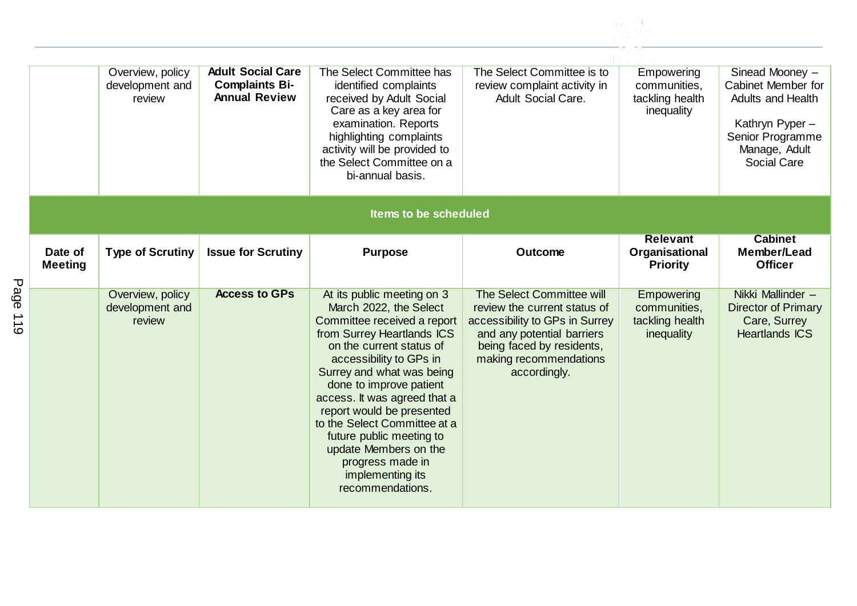|                           | Overview, policy<br>development and<br>review | <b>Adult Social Care</b><br><b>Complaints Bi-</b><br><b>Annual Review</b> | The Select Committee has<br>identified complaints<br>received by Adult Social<br>Care as a key area for<br>examination. Reports<br>highlighting complaints<br>activity will be provided to<br>the Select Committee on a<br>bi-annual basis.                                                                                                                                                                                                    | The Select Committee is to<br>review complaint activity in<br><b>Adult Social Care.</b>                                                                                                          | Empowering<br>communities,<br>tackling health<br>inequality | Sinead Mooney -<br>Cabinet Member for<br><b>Adults and Health</b><br>Kathryn Pyper-<br>Senior Programme<br>Manage, Adult<br>Social Care |
|---------------------------|-----------------------------------------------|---------------------------------------------------------------------------|------------------------------------------------------------------------------------------------------------------------------------------------------------------------------------------------------------------------------------------------------------------------------------------------------------------------------------------------------------------------------------------------------------------------------------------------|--------------------------------------------------------------------------------------------------------------------------------------------------------------------------------------------------|-------------------------------------------------------------|-----------------------------------------------------------------------------------------------------------------------------------------|
|                           |                                               |                                                                           | <b>Items to be scheduled</b>                                                                                                                                                                                                                                                                                                                                                                                                                   |                                                                                                                                                                                                  |                                                             |                                                                                                                                         |
| Date of<br><b>Meeting</b> | <b>Type of Scrutiny</b>                       | <b>Issue for Scrutiny</b>                                                 | <b>Purpose</b>                                                                                                                                                                                                                                                                                                                                                                                                                                 | <b>Outcome</b>                                                                                                                                                                                   | <b>Relevant</b><br>Organisational<br><b>Priority</b>        | <b>Cabinet</b><br>Member/Lead<br><b>Officer</b>                                                                                         |
|                           | Overview, policy<br>development and<br>review | <b>Access to GPs</b>                                                      | At its public meeting on 3<br>March 2022, the Select<br>Committee received a report<br>from Surrey Heartlands ICS<br>on the current status of<br>accessibility to GPs in<br>Surrey and what was being<br>done to improve patient<br>access. It was agreed that a<br>report would be presented<br>to the Select Committee at a<br>future public meeting to<br>update Members on the<br>progress made in<br>implementing its<br>recommendations. | The Select Committee will<br>review the current status of<br>accessibility to GPs in Surrey<br>and any potential barriers<br>being faced by residents,<br>making recommendations<br>accordingly. | Empowering<br>communities,<br>tackling health<br>inequality | Nikki Mallinder -<br><b>Director of Primary</b><br>Care, Surrey<br><b>Heartlands ICS</b>                                                |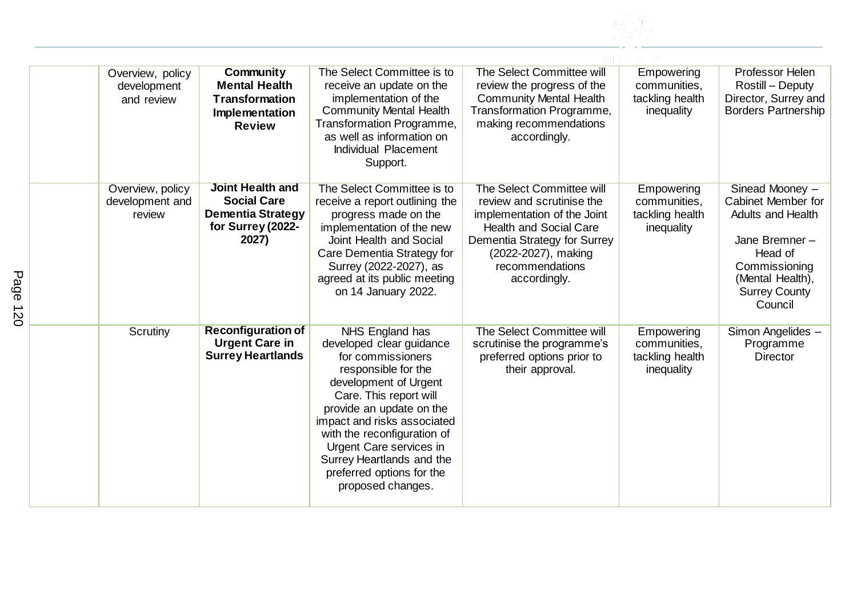| Overview, policy<br>development<br>and review | Community<br><b>Mental Health</b><br><b>Transformation</b><br>Implementation<br><b>Review</b>           | The Select Committee is to<br>receive an update on the<br>implementation of the<br><b>Community Mental Health</b><br>Transformation Programme,<br>as well as information on<br>Individual Placement<br>Support.                                                                                                                                | The Select Committee will<br>review the progress of the<br><b>Community Mental Health</b><br>Transformation Programme,<br>making recommendations<br>accordingly.                                                        | Empowering<br>communities.<br>tackling health<br>inequality | Professor Helen<br>Rostill - Deputy<br>Director, Surrey and<br><b>Borders Partnership</b>                                                                             |
|-----------------------------------------------|---------------------------------------------------------------------------------------------------------|------------------------------------------------------------------------------------------------------------------------------------------------------------------------------------------------------------------------------------------------------------------------------------------------------------------------------------------------|-------------------------------------------------------------------------------------------------------------------------------------------------------------------------------------------------------------------------|-------------------------------------------------------------|-----------------------------------------------------------------------------------------------------------------------------------------------------------------------|
| Overview, policy<br>development and<br>review | <b>Joint Health and</b><br><b>Social Care</b><br><b>Dementia Strategy</b><br>for Surrey (2022-<br>2027) | The Select Committee is to<br>receive a report outlining the<br>progress made on the<br>implementation of the new<br>Joint Health and Social<br>Care Dementia Strategy for<br>Surrey (2022-2027), as<br>agreed at its public meeting<br>on 14 January 2022.                                                                                    | <b>The Select Committee will</b><br>review and scrutinise the<br>implementation of the Joint<br><b>Health and Social Care</b><br>Dementia Strategy for Surrey<br>(2022-2027), making<br>recommendations<br>accordingly. | Empowering<br>communities,<br>tackling health<br>inequality | Sinead Mooney -<br>Cabinet Member for<br><b>Adults and Health</b><br>Jane Bremner-<br>Head of<br>Commissioning<br>(Mental Health),<br><b>Surrey County</b><br>Council |
| Scrutiny                                      | <b>Reconfiguration of</b><br><b>Urgent Care in</b><br><b>Surrey Heartlands</b>                          | NHS England has<br>developed clear guidance<br>for commissioners<br>responsible for the<br>development of Urgent<br>Care. This report will<br>provide an update on the<br>impact and risks associated<br>with the reconfiguration of<br>Urgent Care services in<br>Surrey Heartlands and the<br>preferred options for the<br>proposed changes. | The Select Committee will<br>scrutinise the programme's<br>preferred options prior to<br>their approval.                                                                                                                | Empowering<br>communities,<br>tackling health<br>inequality | Simon Angelides -<br>Programme<br><b>Director</b>                                                                                                                     |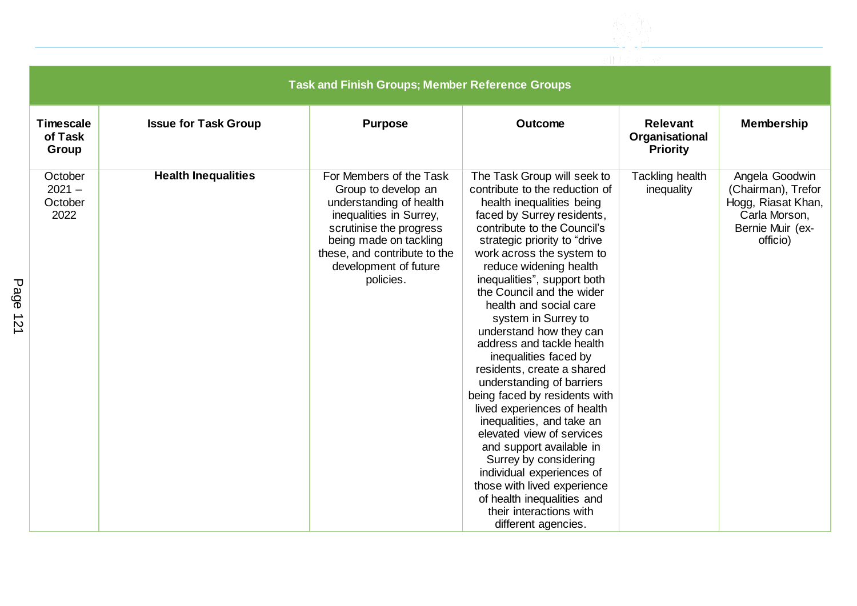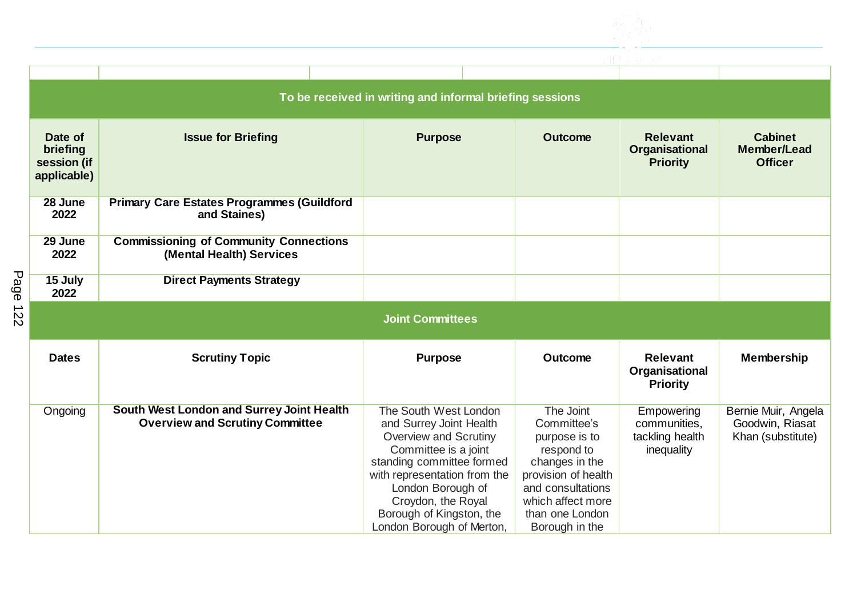

| To be received in writing and informal briefing sessions |                                                                           |                         |                |                                                      |                                                        |  |  |
|----------------------------------------------------------|---------------------------------------------------------------------------|-------------------------|----------------|------------------------------------------------------|--------------------------------------------------------|--|--|
| Date of<br>briefing<br>session (if<br>applicable)        | <b>Issue for Briefing</b>                                                 | <b>Purpose</b>          | <b>Outcome</b> | <b>Relevant</b><br>Organisational<br><b>Priority</b> | <b>Cabinet</b><br><b>Member/Lead</b><br><b>Officer</b> |  |  |
| 28 June<br>2022                                          | <b>Primary Care Estates Programmes (Guildford</b><br>and Staines)         |                         |                |                                                      |                                                        |  |  |
| 29 June<br>2022                                          | <b>Commissioning of Community Connections</b><br>(Mental Health) Services |                         |                |                                                      |                                                        |  |  |
| 15 July<br>2022                                          | <b>Direct Payments Strategy</b>                                           |                         |                |                                                      |                                                        |  |  |
|                                                          |                                                                           | <b>Joint Committees</b> |                |                                                      |                                                        |  |  |
| <b>Dates</b>                                             | <b>Scrutiny Topic</b>                                                     | <b>Purpose</b>          | <b>Outcome</b> | <b>Relevant</b>                                      |                                                        |  |  |
|                                                          |                                                                           |                         |                | Organisational<br><b>Priority</b>                    | <b>Membership</b>                                      |  |  |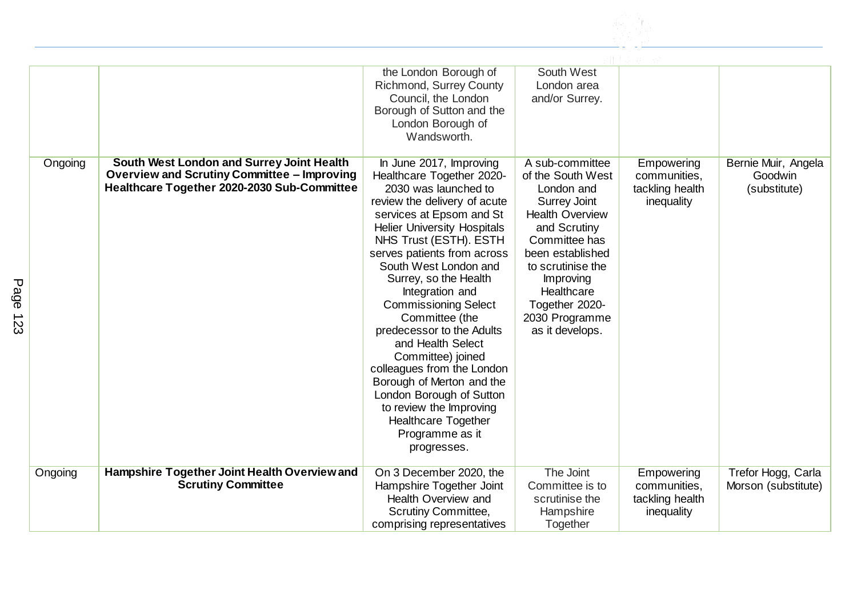|             |         |                                                                                                                                                | the London Borough of<br>Richmond, Surrey County<br>Council, the London<br>Borough of Sutton and the<br>London Borough of<br>Wandsworth.                                                                                                                                                                                                                                                                                                                                                                                                                                                                               | South West<br>London area<br>and/or Surrey.                                                                                                                                                                                                                     |                                                             |                                                |
|-------------|---------|------------------------------------------------------------------------------------------------------------------------------------------------|------------------------------------------------------------------------------------------------------------------------------------------------------------------------------------------------------------------------------------------------------------------------------------------------------------------------------------------------------------------------------------------------------------------------------------------------------------------------------------------------------------------------------------------------------------------------------------------------------------------------|-----------------------------------------------------------------------------------------------------------------------------------------------------------------------------------------------------------------------------------------------------------------|-------------------------------------------------------------|------------------------------------------------|
| Page<br>123 | Ongoing | South West London and Surrey Joint Health<br><b>Overview and Scrutiny Committee - Improving</b><br>Healthcare Together 2020-2030 Sub-Committee | In June 2017, Improving<br>Healthcare Together 2020-<br>2030 was launched to<br>review the delivery of acute<br>services at Epsom and St<br><b>Helier University Hospitals</b><br>NHS Trust (ESTH). ESTH<br>serves patients from across<br>South West London and<br>Surrey, so the Health<br>Integration and<br><b>Commissioning Select</b><br>Committee (the<br>predecessor to the Adults<br>and Health Select<br>Committee) joined<br>colleagues from the London<br>Borough of Merton and the<br>London Borough of Sutton<br>to review the Improving<br><b>Healthcare Together</b><br>Programme as it<br>progresses. | A sub-committee<br>of the South West<br>London and<br><b>Surrey Joint</b><br><b>Health Overview</b><br>and Scrutiny<br>Committee has<br>been established<br>to scrutinise the<br>Improving<br>Healthcare<br>Together 2020-<br>2030 Programme<br>as it develops. | Empowering<br>communities,<br>tackling health<br>inequality | Bernie Muir, Angela<br>Goodwin<br>(substitute) |
|             | Ongoing | Hampshire Together Joint Health Overview and<br><b>Scrutiny Committee</b>                                                                      | On 3 December 2020, the<br>Hampshire Together Joint<br><b>Health Overview and</b><br>Scrutiny Committee,<br>comprising representatives                                                                                                                                                                                                                                                                                                                                                                                                                                                                                 | The Joint<br>Committee is to<br>scrutinise the<br>Hampshire<br>Together                                                                                                                                                                                         | Empowering<br>communities,<br>tackling health<br>inequality | Trefor Hogg, Carla<br>Morson (substitute)      |